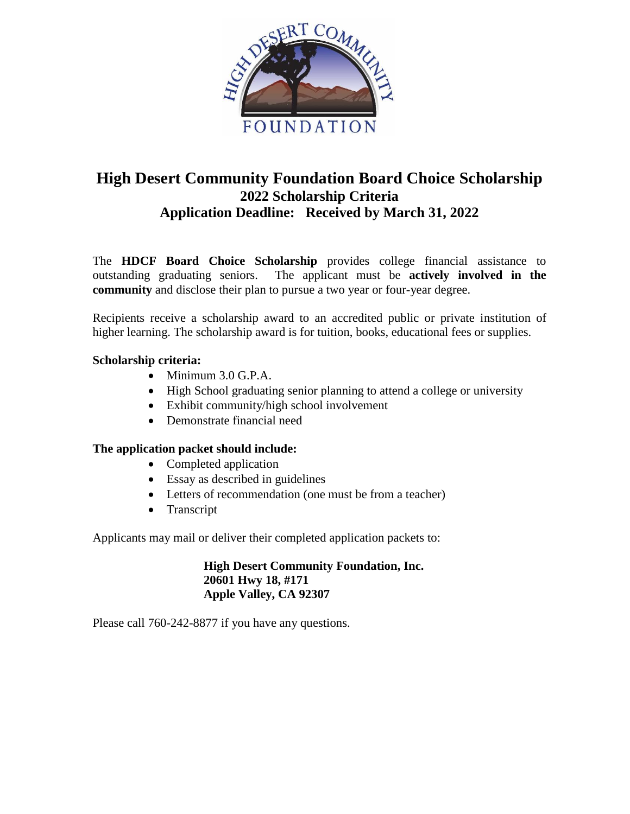

# **High Desert Community Foundation Board Choice Scholarship 2022 Scholarship Criteria Application Deadline: Received by March 31, 2022**

The **HDCF Board Choice Scholarship** provides college financial assistance to outstanding graduating seniors. The applicant must be **actively involved in the community** and disclose their plan to pursue a two year or four-year degree.

Recipients receive a scholarship award to an accredited public or private institution of higher learning. The scholarship award is for tuition, books, educational fees or supplies.

# **Scholarship criteria:**

- Minimum 3.0 G.P.A.
- High School graduating senior planning to attend a college or university
- Exhibit community/high school involvement
- Demonstrate financial need

# **The application packet should include:**

- Completed application
- Essay as described in guidelines
- Letters of recommendation (one must be from a teacher)
- Transcript

Applicants may mail or deliver their completed application packets to:

#### **High Desert Community Foundation, Inc. 20601 Hwy 18, #171 Apple Valley, CA 92307**

Please call 760-242-8877 if you have any questions.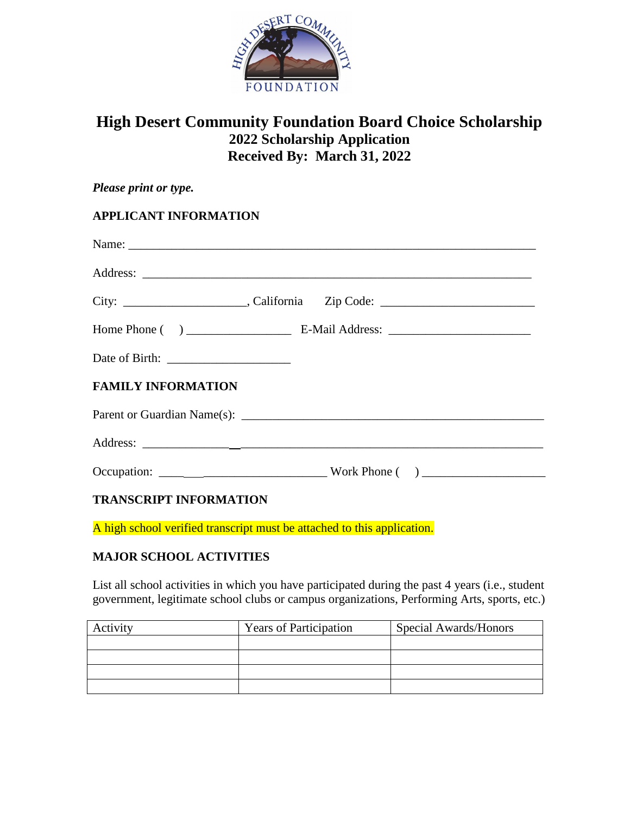

# **High Desert Community Foundation Board Choice Scholarship 2022 Scholarship Application Received By: March 31, 2022**

| Please print or type.                                                                           |  |  |  |  |  |  |
|-------------------------------------------------------------------------------------------------|--|--|--|--|--|--|
| <b>APPLICANT INFORMATION</b>                                                                    |  |  |  |  |  |  |
|                                                                                                 |  |  |  |  |  |  |
|                                                                                                 |  |  |  |  |  |  |
|                                                                                                 |  |  |  |  |  |  |
|                                                                                                 |  |  |  |  |  |  |
|                                                                                                 |  |  |  |  |  |  |
| <b>FAMILY INFORMATION</b>                                                                       |  |  |  |  |  |  |
|                                                                                                 |  |  |  |  |  |  |
|                                                                                                 |  |  |  |  |  |  |
| $Occupation: \begin{tabular}{c} \n  Occupation: \n  & \n  & \n  & \n  & \n  & \n \end{tabular}$ |  |  |  |  |  |  |
| <b>TRANSCRIPT INFORMATION</b>                                                                   |  |  |  |  |  |  |

A high school verified transcript must be attached to this application.

# **MAJOR SCHOOL ACTIVITIES**

List all school activities in which you have participated during the past 4 years (i.e., student government, legitimate school clubs or campus organizations, Performing Arts, sports, etc.)

| Activity | <b>Years of Participation</b> | Special Awards/Honors |  |
|----------|-------------------------------|-----------------------|--|
|          |                               |                       |  |
|          |                               |                       |  |
|          |                               |                       |  |
|          |                               |                       |  |